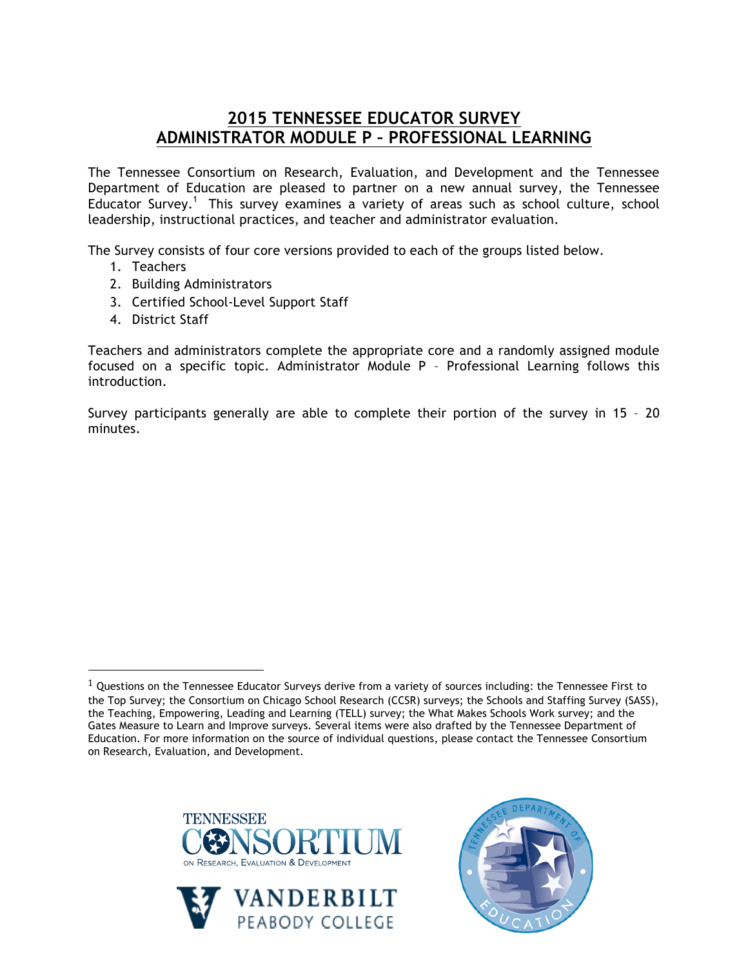## **2015 TENNESSEE EDUCATOR SURVEY ADMINISTRATOR MODULE P – PROFESSIONAL LEARNING**

The Tennessee Consortium on Research, Evaluation, and Development and the Tennessee Department of Education are pleased to partner on a new annual survey, the Tennessee Educator Survey.<sup>1</sup> This survey examines a variety of areas such as school culture, school leadership, instructional practices, and teacher and administrator evaluation.

The Survey consists of four core versions provided to each of the groups listed below.

- 1. Teachers
- 2. Building Administrators
- 3. Certified School-Level Support Staff
- 4. District Staff

!!!!!!!!!!!!!!!!!!!!!!!!!!!!!!!!!!!!!!!!!!!!!!!!!!!!!!!

Teachers and administrators complete the appropriate core and a randomly assigned module focused on a specific topic. Administrator Module P – Professional Learning follows this introduction.

Survey participants generally are able to complete their portion of the survey in 15 – 20 minutes.







 $1$  Questions on the Tennessee Educator Surveys derive from a variety of sources including: the Tennessee First to the Top Survey; the Consortium on Chicago School Research (CCSR) surveys; the Schools and Staffing Survey (SASS), the Teaching, Empowering, Leading and Learning (TELL) survey; the What Makes Schools Work survey; and the Gates Measure to Learn and Improve surveys. Several items were also drafted by the Tennessee Department of Education. For more information on the source of individual questions, please contact the Tennessee Consortium on Research, Evaluation, and Development.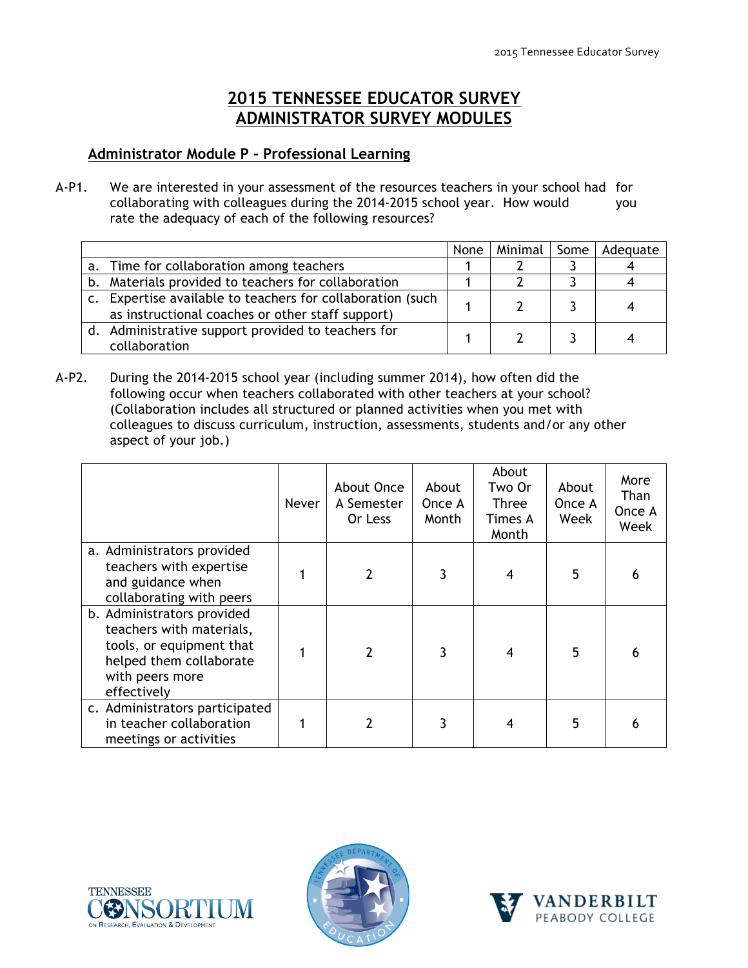## **2015 TENNESSEE EDUCATOR SURVEY ADMINISTRATOR SURVEY MODULES**

## **Administrator Module P - Professional Learning**

A-P1. We are interested in your assessment of the resources teachers in your school had for collaborating with colleagues during the 2014-2015 school year. How would you rate the adequacy of each of the following resources?

|                                                                                                                | None | Minimal | Some | Adequate |
|----------------------------------------------------------------------------------------------------------------|------|---------|------|----------|
| a. Time for collaboration among teachers                                                                       |      |         |      |          |
| b. Materials provided to teachers for collaboration                                                            |      |         |      |          |
| c. Expertise available to teachers for collaboration (such<br>as instructional coaches or other staff support) |      |         |      |          |
| d. Administrative support provided to teachers for<br>collaboration                                            |      |         |      |          |

A-P2. During the 2014-2015 school year (including summer 2014), how often did the following occur when teachers collaborated with other teachers at your school? (Collaboration includes all structured or planned activities when you met with colleagues to discuss curriculum, instruction, assessments, students and/or any other aspect of your job.)

|                                                                                                                                                 | Never | About Once<br>A Semester<br>Or Less | About<br>Once A<br>Month | About<br>Two Or<br><b>Three</b><br>Times A<br>Month | About<br>Once A<br>Week | More<br>Than<br>Once A<br>Week |
|-------------------------------------------------------------------------------------------------------------------------------------------------|-------|-------------------------------------|--------------------------|-----------------------------------------------------|-------------------------|--------------------------------|
| a. Administrators provided<br>teachers with expertise<br>and guidance when<br>collaborating with peers                                          |       | $\overline{2}$                      | 3                        | 4                                                   | 5                       | 6                              |
| b. Administrators provided<br>teachers with materials,<br>tools, or equipment that<br>helped them collaborate<br>with peers more<br>effectively |       | $\mathcal{P}$                       | 3                        | 4                                                   | 5                       | 6                              |
| c. Administrators participated<br>in teacher collaboration<br>meetings or activities                                                            |       |                                     | 3                        |                                                     | 5                       | 6                              |





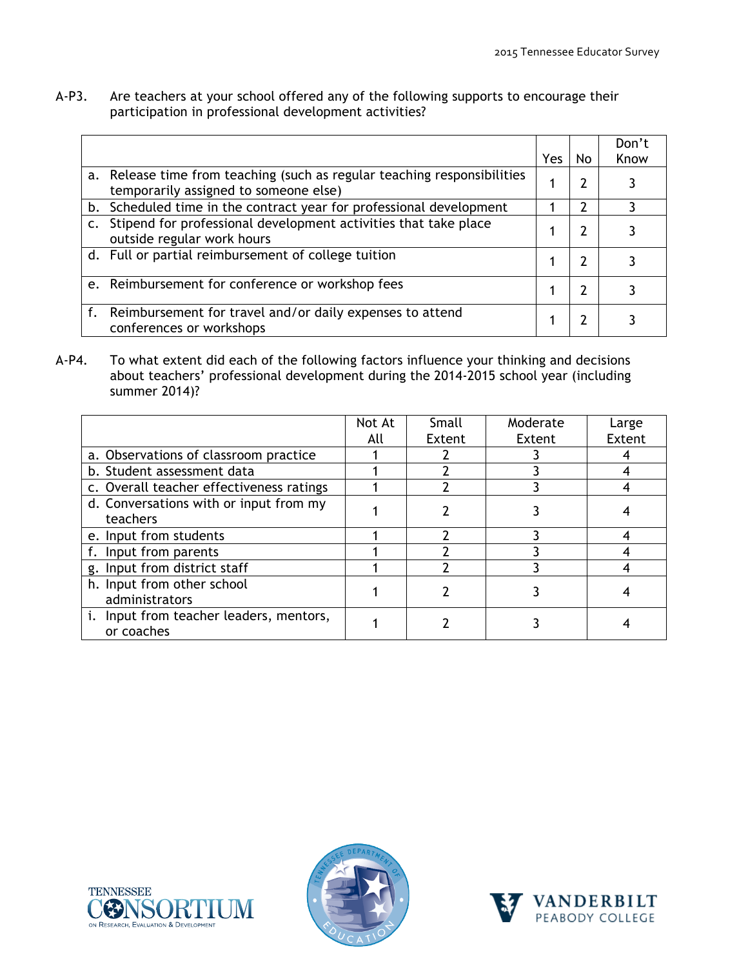A-P3. Are teachers at your school offered any of the following supports to encourage their participation in professional development activities?

|                                                                                                                   | Yes | No | Don't<br>Know |
|-------------------------------------------------------------------------------------------------------------------|-----|----|---------------|
| a. Release time from teaching (such as regular teaching responsibilities<br>temporarily assigned to someone else) |     | 2  |               |
| Scheduled time in the contract year for professional development<br>b.                                            |     | າ  |               |
| Stipend for professional development activities that take place<br>$\mathsf{C}$ .<br>outside regular work hours   |     | 7  |               |
| d. Full or partial reimbursement of college tuition                                                               |     | 7  |               |
| e. Reimbursement for conference or workshop fees                                                                  |     | 7  |               |
| Reimbursement for travel and/or daily expenses to attend<br>conferences or workshops                              |     |    |               |

A-P4. To what extent did each of the following factors influence your thinking and decisions about teachers' professional development during the 2014-2015 school year (including summer 2014)?

|                                                       | Not At | Small  | Moderate | Large  |
|-------------------------------------------------------|--------|--------|----------|--------|
|                                                       | All    | Extent | Extent   | Extent |
| a. Observations of classroom practice                 |        |        |          |        |
| b. Student assessment data                            |        |        |          |        |
| c. Overall teacher effectiveness ratings              |        |        |          |        |
| d. Conversations with or input from my<br>teachers    |        |        |          |        |
| e. Input from students                                |        |        |          |        |
| f. Input from parents                                 |        |        |          |        |
| g. Input from district staff                          |        |        |          |        |
| h. Input from other school<br>administrators          |        |        |          |        |
| i. Input from teacher leaders, mentors,<br>or coaches |        |        |          |        |





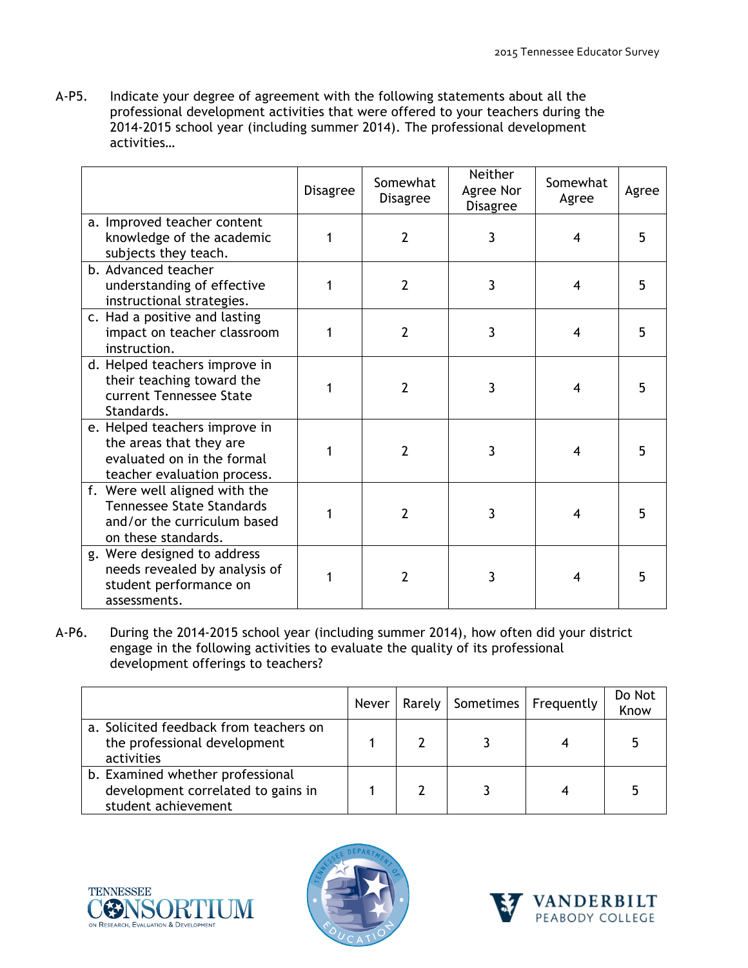A-P5. Indicate your degree of agreement with the following statements about all the professional development activities that were offered to your teachers during the 2014-2015 school year (including summer 2014). The professional development activities…

|                                                                                                                         | <b>Disagree</b> | Somewhat<br><b>Disagree</b> | Neither<br>Agree Nor<br><b>Disagree</b> | Somewhat<br>Agree | Agree |
|-------------------------------------------------------------------------------------------------------------------------|-----------------|-----------------------------|-----------------------------------------|-------------------|-------|
| a. Improved teacher content<br>knowledge of the academic<br>subjects they teach.                                        |                 | $\overline{2}$              | 3                                       | 4                 | 5     |
| b. Advanced teacher<br>understanding of effective<br>instructional strategies.                                          |                 | $\overline{2}$              | 3                                       | 4                 | 5     |
| c. Had a positive and lasting<br>impact on teacher classroom<br>instruction.                                            | 1               | $\overline{2}$              | 3                                       | 4                 | 5     |
| d. Helped teachers improve in<br>their teaching toward the<br>current Tennessee State<br>Standards.                     |                 | 2                           | 3                                       | 4                 | 5     |
| e. Helped teachers improve in<br>the areas that they are<br>evaluated on in the formal<br>teacher evaluation process.   |                 | $\overline{2}$              | 3                                       | 4                 | 5     |
| f. Were well aligned with the<br><b>Tennessee State Standards</b><br>and/or the curriculum based<br>on these standards. |                 | $\overline{2}$              | 3                                       | 4                 | 5     |
| g. Were designed to address<br>needs revealed by analysis of<br>student performance on<br>assessments.                  |                 | 2                           | 3                                       | 4                 | 5     |

A-P6. During the 2014-2015 school year (including summer 2014), how often did your district engage in the following activities to evaluate the quality of its professional development offerings to teachers?

|                                                                                               |  | Never   Rarely   Sometimes   Frequently | Do Not<br>Know |
|-----------------------------------------------------------------------------------------------|--|-----------------------------------------|----------------|
| a. Solicited feedback from teachers on<br>the professional development<br>activities          |  |                                         |                |
| b. Examined whether professional<br>development correlated to gains in<br>student achievement |  |                                         |                |





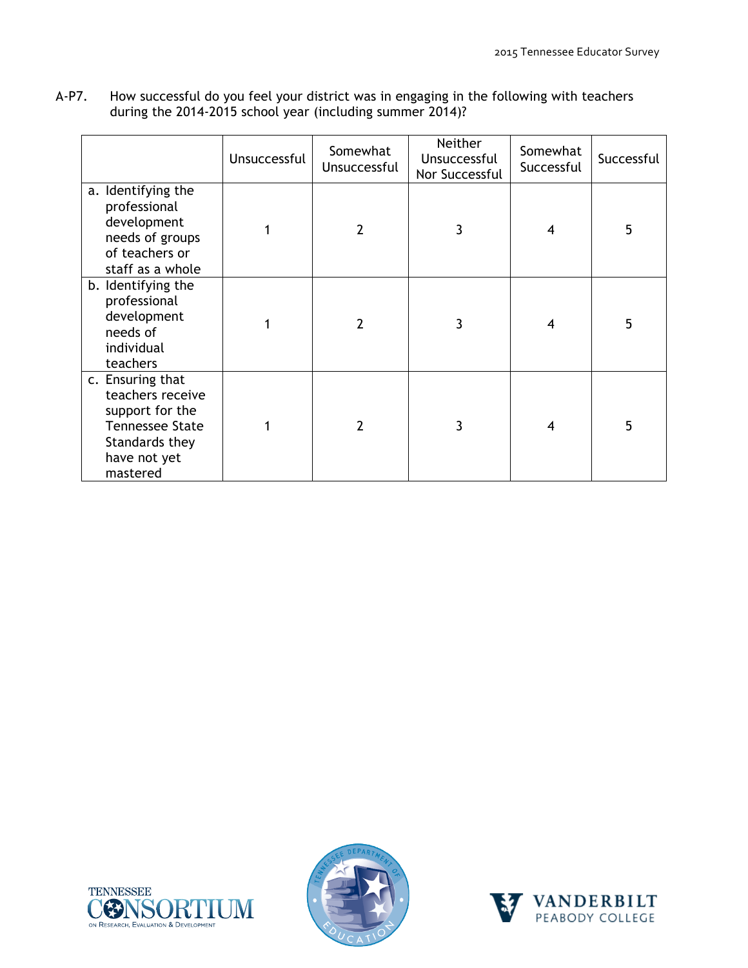| A-P7. | How successful do you feel your district was in engaging in the following with teachers |
|-------|-----------------------------------------------------------------------------------------|
|       | during the 2014-2015 school year (including summer 2014)?                               |

|                                                                                                                                 | Unsuccessful | Somewhat<br>Unsuccessful | Neither<br>Unsuccessful<br>Nor Successful | Somewhat<br>Successful | Successful |
|---------------------------------------------------------------------------------------------------------------------------------|--------------|--------------------------|-------------------------------------------|------------------------|------------|
| a. Identifying the<br>professional<br>development<br>needs of groups<br>of teachers or<br>staff as a whole                      |              | $\overline{2}$           | 3                                         | 4                      | 5          |
| b. Identifying the<br>professional<br>development<br>needs of<br>individual<br>teachers                                         |              | 2                        | 3                                         | 4                      | 5          |
| c. Ensuring that<br>teachers receive<br>support for the<br><b>Tennessee State</b><br>Standards they<br>have not yet<br>mastered |              | 2                        | 3                                         | 4                      | 5          |